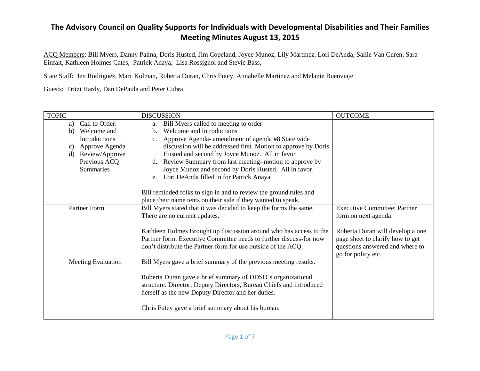ACQ Members: Bill Myers, Danny Palma, Doris Husted, Jim Copeland, Joyce Munoz, Lily Martinez, Lori DeAnda, Sallie Van Curen, Sara Einfalt, Kathleen Holmes Cates, Patrick Anaya, Lisa Rossignol and Stevie Bass,

State Staff: Jen Rodriguez, Marc Kolman, Roberta Duran, Chris Futey, Annabelle Martinez and Melanie Buenviaje

Guests: Fritzi Hardy, Dan DePaula and Peter Cubra

| <b>TOPIC</b>                   | <b>DISCUSSION</b>                                                   | <b>OUTCOME</b>                      |
|--------------------------------|---------------------------------------------------------------------|-------------------------------------|
| Call to Order:<br>a)           | Bill Myers called to meeting to order<br>a.                         |                                     |
| b) Welcome and                 | Welcome and Introductions<br>$\mathbf{b}$ .                         |                                     |
| <b>Introductions</b>           | Approve Agenda- amendment of agenda #8 State wide                   |                                     |
| Approve Agenda<br>C)           | discussion will be addressed first. Motion to approve by Doris      |                                     |
| Review/Approve<br>$\mathbf{d}$ | Husted and second by Joyce Munoz. All in favor                      |                                     |
| Previous ACQ                   | d. Review Summary from last meeting-motion to approve by            |                                     |
| <b>Summaries</b>               | Joyce Munoz and second by Doris Husted. All in favor.               |                                     |
|                                | e. Lori DeAnda filled in for Patrick Anaya                          |                                     |
|                                |                                                                     |                                     |
|                                | Bill reminded folks to sign in and to review the ground rules and   |                                     |
|                                | place their name tents on their side if they wanted to speak.       |                                     |
| Partner Form                   | Bill Myers stated that it was decided to keep the forms the same.   | <b>Executive Committee: Partner</b> |
|                                | There are no current updates.                                       | form on next agenda                 |
|                                |                                                                     |                                     |
|                                | Kathleen Holmes Brought up discussion around who has access to the  | Roberta Duran will develop a one    |
|                                | Partner form. Executive Committee needs to further discuss-for now  | page sheet to clarify how to get    |
|                                | don't distribute the Partner form for use outside of the ACQ.       | questions answered and where to     |
|                                |                                                                     | go for policy etc.                  |
| Meeting Evaluation             | Bill Myers gave a brief summary of the previous meeting results.    |                                     |
|                                |                                                                     |                                     |
|                                | Roberta Duran gave a brief summary of DDSD's organizational         |                                     |
|                                | structure. Director, Deputy Directors, Bureau Chiefs and introduced |                                     |
|                                | herself as the new Deputy Director and her duties.                  |                                     |
|                                |                                                                     |                                     |
|                                | Chris Futey gave a brief summary about his bureau.                  |                                     |
|                                |                                                                     |                                     |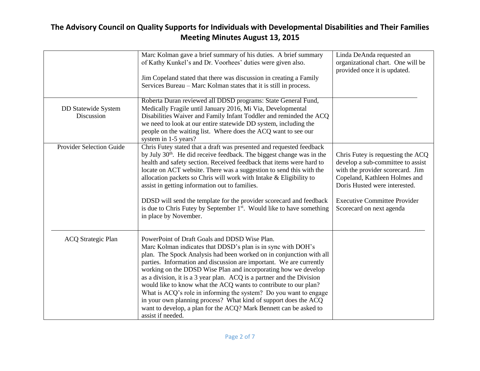|                                 | Marc Kolman gave a brief summary of his duties. A brief summary<br>of Kathy Kunkel's and Dr. Voorhees' duties were given also.            | Linda DeAnda requested an<br>organizational chart. One will be<br>provided once it is updated. |
|---------------------------------|-------------------------------------------------------------------------------------------------------------------------------------------|------------------------------------------------------------------------------------------------|
|                                 | Jim Copeland stated that there was discussion in creating a Family                                                                        |                                                                                                |
|                                 | Services Bureau – Marc Kolman states that it is still in process.                                                                         |                                                                                                |
|                                 | Roberta Duran reviewed all DDSD programs: State General Fund,                                                                             |                                                                                                |
| DD Statewide System             | Medically Fragile until January 2016, Mi Via, Developmental                                                                               |                                                                                                |
| Discussion                      | Disabilities Waiver and Family Infant Toddler and reminded the ACQ<br>we need to look at our entire statewide DD system, including the    |                                                                                                |
|                                 | people on the waiting list. Where does the ACQ want to see our                                                                            |                                                                                                |
|                                 | system in 1-5 years?                                                                                                                      |                                                                                                |
| <b>Provider Selection Guide</b> | Chris Futey stated that a draft was presented and requested feedback                                                                      |                                                                                                |
|                                 | by July 30 <sup>th</sup> . He did receive feedback. The biggest change was in the                                                         | Chris Futey is requesting the ACQ                                                              |
|                                 | health and safety section. Received feedback that items were hard to                                                                      | develop a sub-committee to assist                                                              |
|                                 | locate on ACT website. There was a suggestion to send this with the<br>allocation packets so Chris will work with Intake & Eligibility to | with the provider scorecard. Jim<br>Copeland, Kathleen Holmes and                              |
|                                 | assist in getting information out to families.                                                                                            | Doris Husted were interested.                                                                  |
|                                 |                                                                                                                                           |                                                                                                |
|                                 | DDSD will send the template for the provider scorecard and feedback                                                                       | <b>Executive Committee Provider</b>                                                            |
|                                 | is due to Chris Futey by September $1st$ . Would like to have something                                                                   | Scorecard on next agenda                                                                       |
|                                 | in place by November.                                                                                                                     |                                                                                                |
|                                 |                                                                                                                                           |                                                                                                |
| <b>ACQ Strategic Plan</b>       | PowerPoint of Draft Goals and DDSD Wise Plan.                                                                                             |                                                                                                |
|                                 | Marc Kolman indicates that DDSD's plan is in sync with DOH's                                                                              |                                                                                                |
|                                 | plan. The Spock Analysis had been worked on in conjunction with all                                                                       |                                                                                                |
|                                 | parties. Information and discussion are important. We are currently                                                                       |                                                                                                |
|                                 | working on the DDSD Wise Plan and incorporating how we develop<br>as a division, it is a 3 year plan. ACQ is a partner and the Division   |                                                                                                |
|                                 | would like to know what the ACQ wants to contribute to our plan?                                                                          |                                                                                                |
|                                 | What is ACQ's role in informing the system? Do you want to engage                                                                         |                                                                                                |
|                                 | in your own planning process? What kind of support does the ACQ                                                                           |                                                                                                |
|                                 | want to develop, a plan for the ACQ? Mark Bennett can be asked to                                                                         |                                                                                                |
|                                 | assist if needed.                                                                                                                         |                                                                                                |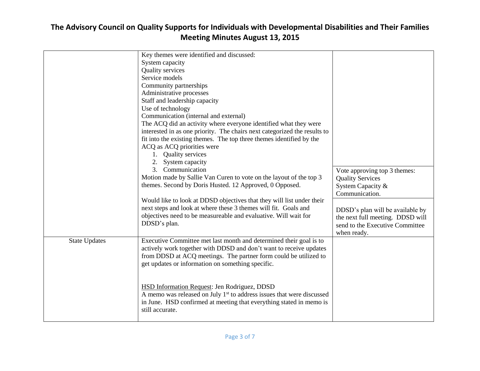|                      | Key themes were identified and discussed:                                         |                                  |
|----------------------|-----------------------------------------------------------------------------------|----------------------------------|
|                      | System capacity                                                                   |                                  |
|                      | Quality services                                                                  |                                  |
|                      | Service models                                                                    |                                  |
|                      | Community partnerships                                                            |                                  |
|                      | Administrative processes                                                          |                                  |
|                      | Staff and leadership capacity                                                     |                                  |
|                      | Use of technology                                                                 |                                  |
|                      | Communication (internal and external)                                             |                                  |
|                      | The ACQ did an activity where everyone identified what they were                  |                                  |
|                      | interested in as one priority. The chairs next categorized the results to         |                                  |
|                      | fit into the existing themes. The top three themes identified by the              |                                  |
|                      | ACQ as ACQ priorities were                                                        |                                  |
|                      | 1. Quality services                                                               |                                  |
|                      | 2. System capacity                                                                |                                  |
|                      | 3. Communication                                                                  | Vote approving top 3 themes:     |
|                      | Motion made by Sallie Van Curen to vote on the layout of the top 3                | <b>Quality Services</b>          |
|                      | themes. Second by Doris Husted. 12 Approved, 0 Opposed.                           | System Capacity &                |
|                      |                                                                                   | Communication.                   |
|                      | Would like to look at DDSD objectives that they will list under their             |                                  |
|                      | next steps and look at where these 3 themes will fit. Goals and                   | DDSD's plan will be available by |
|                      | objectives need to be measureable and evaluative. Will wait for                   | the next full meeting. DDSD will |
|                      | DDSD's plan.                                                                      | send to the Executive Committee  |
|                      |                                                                                   | when ready.                      |
| <b>State Updates</b> | Executive Committee met last month and determined their goal is to                |                                  |
|                      | actively work together with DDSD and don't want to receive updates                |                                  |
|                      | from DDSD at ACQ meetings. The partner form could be utilized to                  |                                  |
|                      | get updates or information on something specific.                                 |                                  |
|                      |                                                                                   |                                  |
|                      |                                                                                   |                                  |
|                      | HSD Information Request: Jen Rodriguez, DDSD                                      |                                  |
|                      | A memo was released on July 1 <sup>st</sup> to address issues that were discussed |                                  |
|                      | in June. HSD confirmed at meeting that everything stated in memo is               |                                  |
|                      | still accurate.                                                                   |                                  |
|                      |                                                                                   |                                  |
|                      |                                                                                   |                                  |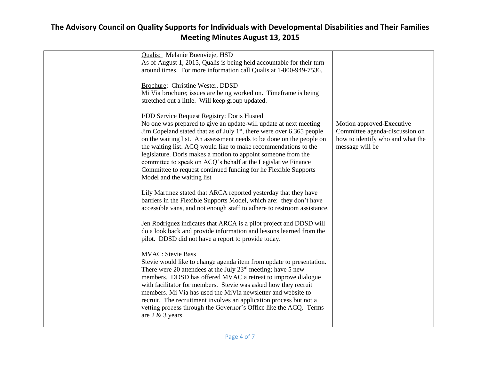| Qualis: Melanie Buenvieje, HSD                                           |                                  |
|--------------------------------------------------------------------------|----------------------------------|
| As of August 1, 2015, Qualis is being held accountable for their turn-   |                                  |
| around times. For more information call Qualis at 1-800-949-7536.        |                                  |
| Brochure: Christine Wester, DDSD                                         |                                  |
| Mi Via brochure; issues are being worked on. Timeframe is being          |                                  |
| stretched out a little. Will keep group updated.                         |                                  |
|                                                                          |                                  |
| I/DD Service Request Registry: Doris Husted                              |                                  |
| No one was prepared to give an update-will update at next meeting        | Motion approved-Executive        |
| Jim Copeland stated that as of July $1st$ , there were over 6,365 people | Committee agenda-discussion on   |
| on the waiting list. An assessment needs to be done on the people on     | how to identify who and what the |
| the waiting list. ACQ would like to make recommendations to the          | message will be                  |
| legislature. Doris makes a motion to appoint someone from the            |                                  |
| committee to speak on ACQ's behalf at the Legislative Finance            |                                  |
| Committee to request continued funding for he Flexible Supports          |                                  |
| Model and the waiting list                                               |                                  |
| Lily Martinez stated that ARCA reported yesterday that they have         |                                  |
| barriers in the Flexible Supports Model, which are: they don't have      |                                  |
| accessible vans, and not enough staff to adhere to restroom assistance.  |                                  |
|                                                                          |                                  |
| Jen Rodriguez indicates that ARCA is a pilot project and DDSD will       |                                  |
| do a look back and provide information and lessons learned from the      |                                  |
| pilot. DDSD did not have a report to provide today.                      |                                  |
|                                                                          |                                  |
| <b>MVAC:</b> Stevie Bass                                                 |                                  |
| Stevie would like to change agenda item from update to presentation.     |                                  |
| There were 20 attendees at the July 23rd meeting; have 5 new             |                                  |
| members. DDSD has offered MVAC a retreat to improve dialogue             |                                  |
| with facilitator for members. Stevie was asked how they recruit          |                                  |
| members. Mi Via has used the MiVia newsletter and website to             |                                  |
| recruit. The recruitment involves an application process but not a       |                                  |
| vetting process through the Governor's Office like the ACQ. Terms        |                                  |
| are $2 \& 3$ years.                                                      |                                  |
|                                                                          |                                  |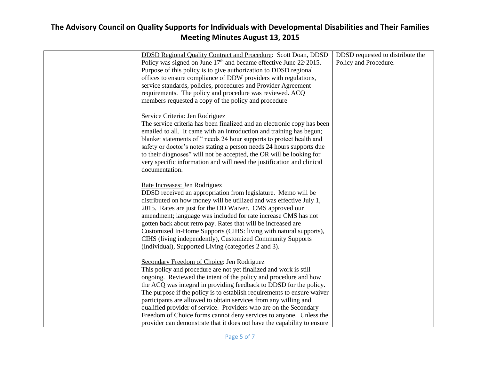| <b>DDSD Regional Quality Contract and Procedure: Scott Doan, DDSD</b><br>Policy was signed on June $17th$ and became effective June 22 $\cdot$ 2015.<br>Purpose of this policy is to give authorization to DDSD regional<br>offices to ensure compliance of DDW providers with regulations,<br>service standards, policies, procedures and Provider Agreement<br>requirements. The policy and procedure was reviewed. ACQ                                                                                                                           | DDSD requested to distribute the<br>Policy and Procedure. |
|-----------------------------------------------------------------------------------------------------------------------------------------------------------------------------------------------------------------------------------------------------------------------------------------------------------------------------------------------------------------------------------------------------------------------------------------------------------------------------------------------------------------------------------------------------|-----------------------------------------------------------|
| members requested a copy of the policy and procedure<br>Service Criteria: Jen Rodriguez<br>The service criteria has been finalized and an electronic copy has been<br>emailed to all. It came with an introduction and training has begun;<br>blanket statements of " needs 24 hour supports to protect health and<br>safety or doctor's notes stating a person needs 24 hours supports due                                                                                                                                                         |                                                           |
| to their diagnoses" will not be accepted, the OR will be looking for<br>very specific information and will need the justification and clinical<br>documentation.<br>Rate Increases: Jen Rodriguez<br>DDSD received an appropriation from legislature. Memo will be<br>distributed on how money will be utilized and was effective July 1,                                                                                                                                                                                                           |                                                           |
| 2015. Rates are just for the DD Waiver. CMS approved our<br>amendment; language was included for rate increase CMS has not<br>gotten back about retro pay. Rates that will be increased are<br>Customized In-Home Supports (CIHS: living with natural supports),<br>CIHS (living independently), Customized Community Supports<br>(Individual), Supported Living (categories 2 and 3).                                                                                                                                                              |                                                           |
| Secondary Freedom of Choice: Jen Rodriguez<br>This policy and procedure are not yet finalized and work is still<br>ongoing. Reviewed the intent of the policy and procedure and how<br>the ACQ was integral in providing feedback to DDSD for the policy.<br>The purpose if the policy is to establish requirements to ensure waiver<br>participants are allowed to obtain services from any willing and<br>qualified provider of service. Providers who are on the Secondary<br>Freedom of Choice forms cannot deny services to anyone. Unless the |                                                           |
| provider can demonstrate that it does not have the capability to ensure                                                                                                                                                                                                                                                                                                                                                                                                                                                                             |                                                           |